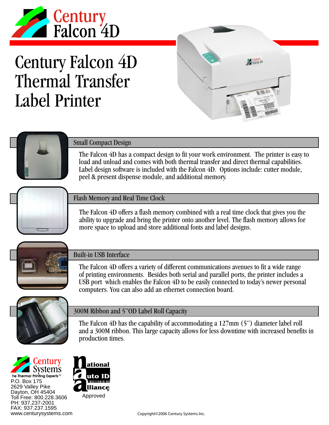

# Century Falcon 4D Thermal Transfer Label Printer





### Small Compact Design

The Falcon 4D has a compact design to fit your work environment. The printer is easy to load and unload and comes with both thermal transfer and direct thermal capabilities. Label design software is included with the Falcon 4D. Options include: cutter module, peel & present dispense module, and additional memory.



#### Flash Memory and Real Time Clock

The Falcon 4D offers a flash memory combined with a real time clock that gives you the ability to upgrade and bring the printer onto another level. The flash memory allows for more space to upload and store additional fonts and label designs.



#### Built-in USB Interface

The Falcon 4D offers a variety of different communications avenues to fit a wide range of printing environments. Besides both serial and parallel ports, the printer includes a USB port which enables the Falcon 4D to be easily connected to today's newer personal computers. You can also add an ethernet connection board.



#### 300M Ribbon and 5"OD Label Roll Capacity

The Falcon 4D has the capability of accommodating a 127mm (5") diameter label roll and a 300M ribbon. This large capacity allows for less downtime with increased benefits in production times.